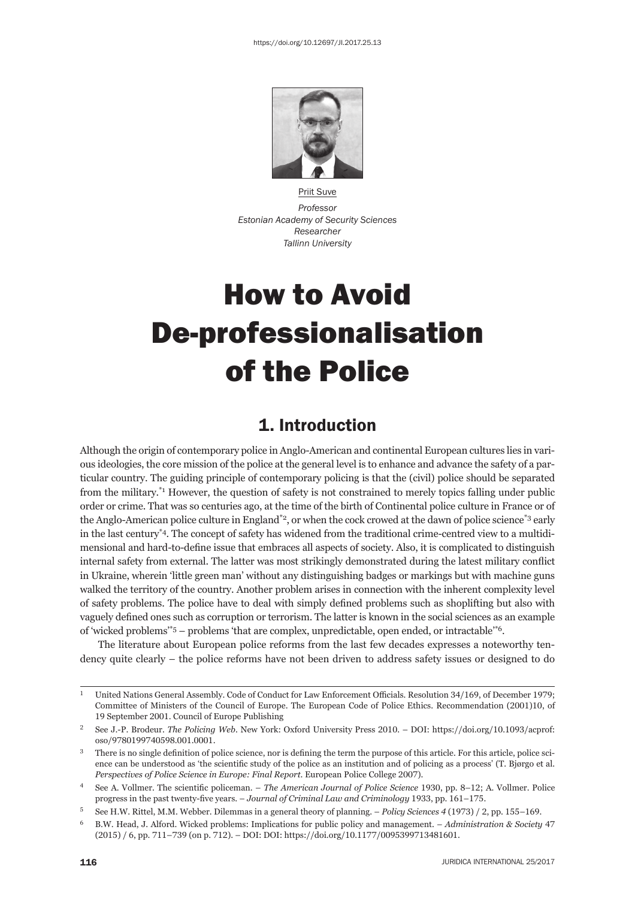

Priit Suve *Professor Estonian Academy of Security Sciences Researcher Tallinn University*

# How to Avoid De-professionalisation of the Police

### 1. Introduction

Although the origin of contemporary police in Anglo-American and continental European cultures lies in various ideologies, the core mission of the police at the general level is to enhance and advance the safety of a particular country. The guiding principle of contemporary policing is that the (civil) police should be separated from the military.\*1 However, the question of safety is not constrained to merely topics falling under public order or crime. That was so centuries ago, at the time of the birth of Continental police culture in France or of the Anglo-American police culture in England<sup>\*2</sup>, or when the cock crowed at the dawn of police science<sup>\*3</sup> early in the last century\*4. The concept of safety has widened from the traditional crime-centred view to a multidimensional and hard-to-define issue that embraces all aspects of society. Also, it is complicated to distinguish internal safety from external. The latter was most strikingly demonstrated during the latest military conflict in Ukraine, wherein 'little green man' without any distinguishing badges or markings but with machine guns walked the territory of the country. Another problem arises in connection with the inherent complexity level of safety problems. The police have to deal with simply defined problems such as shoplifting but also with vaguely defined ones such as corruption or terrorism. The latter is known in the social sciences as an example of 'wicked problems'\*5 – problems 'that are complex, unpredictable, open ended, or intractable'\*6.

The literature about European police reforms from the last few decades expresses a noteworthy tendency quite clearly – the police reforms have not been driven to address safety issues or designed to do

<sup>&</sup>lt;sup>1</sup> United Nations General Assembly. Code of Conduct for Law Enforcement Officials. Resolution 34/169, of December 1979; Committee of Ministers of the Council of Europe. The European Code of Police Ethics. Recommendation (2001)10, of 19 September 2001. Council of Europe Publishing

See J.-P. Brodeur. *The Policing Web*. New York: Oxford University Press 2010. - DOI: https://doi.org/10.1093/acprof: oso/9780199740598.001.0001.

<sup>&</sup>lt;sup>3</sup> There is no single definition of police science, nor is defining the term the purpose of this article. For this article, police science can be understood as 'the scientific study of the police as an institution and of policing as a process' (T. Bjørgo et al. *Perspectives of Police Science in Europe: Final Report. European Police College 2007).* 

<sup>&</sup>lt;sup>4</sup> See A. Vollmer. The scientific policeman. – *The American Journal of Police Science* 1930, pp. 8–12; A. Vollmer. Police progress in the past twenty-five years. *– Journal of Criminal Law and Criminology* 1933, pp. 161–175.

<sup>5</sup> See H.W. Rittel, M.M. Webber. Dilemmas in a general theory of planning. – *Policy Sciences 4* (1973) / 2, pp. 155–169.

<sup>&</sup>lt;sup>6</sup> B.W. Head, J. Alford. Wicked problems: Implications for public policy and management. – *Administration & Society* 47 (2015) / 6, pp. 711-739 (on p. 712). - DOI: DOI: https://doi.org/10.1177/0095399713481601.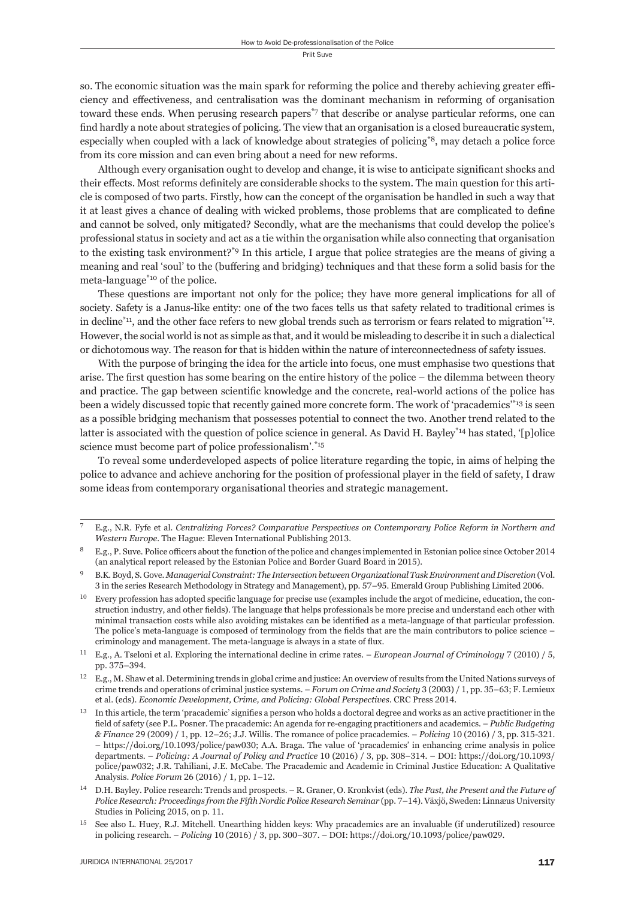so. The economic situation was the main spark for reforming the police and thereby achieving greater efficiency and effectiveness, and centralisation was the dominant mechanism in reforming of organisation toward these ends. When perusing research papers\*7 that describe or analyse particular reforms, one can find hardly a note about strategies of policing. The view that an organisation is a closed bureaucratic system, especially when coupled with a lack of knowledge about strategies of policing\*8, may detach a police force from its core mission and can even bring about a need for new reforms.

Although every organisation ought to develop and change, it is wise to anticipate significant shocks and their effects. Most reforms definitely are considerable shocks to the system. The main question for this article is composed of two parts. Firstly, how can the concept of the organisation be handled in such a way that it at least gives a chance of dealing with wicked problems, those problems that are complicated to define and cannot be solved, only mitigated? Secondly, what are the mechanisms that could develop the police's professional status in society and act as a tie within the organisation while also connecting that organisation to the existing task environment?\*9 In this article, I argue that police strategies are the means of giving a meaning and real 'soul' to the (buffering and bridging) techniques and that these form a solid basis for the meta-language\*10 of the police.

These questions are important not only for the police; they have more general implications for all of society. Safety is a Janus-like entity: one of the two faces tells us that safety related to traditional crimes is in decline<sup>\*11</sup>, and the other face refers to new global trends such as terrorism or fears related to migration<sup>\*12</sup>. However, the social world is not as simple as that, and it would be misleading to describe it in such a dialectical or dichotomous way. The reason for that is hidden within the nature of interconnectedness of safety issues.

With the purpose of bringing the idea for the article into focus, one must emphasise two questions that arise. The first question has some bearing on the entire history of the police – the dilemma between theory and practice. The gap between scientific knowledge and the concrete, real-world actions of the police has been a widely discussed topic that recently gained more concrete form. The work of 'pracademics'\*13 is seen as a possible bridging mechanism that possesses potential to connect the two. Another trend related to the latter is associated with the question of police science in general. As David H. Bayley\*<sup>14</sup> has stated, '[p]olice science must become part of police professionalism'.<sup>\*15</sup>

To reveal some underdeveloped aspects of police literature regarding the topic, in aims of helping the police to advance and achieve anchoring for the position of professional player in the field of safety, I draw some ideas from contemporary organisational theories and strategic management.

<sup>ɸ</sup> E.g., N.R. Fyfe et al. *Centralizing Forces? Comparative Perspectives on Contemporary Police Reform in Northern and Western Europe*. The Hague: Eleven International Publishing 2013.

E.g., P. Suve. Police officers about the function of the police and changes implemented in Estonian police since October 2014 (an analytical report released by the Estonian Police and Border Guard Board in 2015).

<sup>ɺ</sup> B.K. Boyd, S. Gove. *Managerial Constraint: The Intersection between Organizational Task Environment and Discretion* (Vol. 3 in the series Research Methodology in Strategy and Management), pp. 57-95. Emerald Group Publishing Limited 2006.

<sup>&</sup>lt;sup>10</sup> Every profession has adopted specific language for precise use (examples include the argot of medicine, education, the construction industry, and other fields). The language that helps professionals be more precise and understand each other with minimal transaction costs while also avoiding mistakes can be identified as a meta-language of that particular profession. The police's meta-language is composed of terminology from the fields that are the main contributors to police science  $$ criminology and management. The meta-language is always in a state of flux.

 $^{11}$  E.g., A. Tseloni et al. Exploring the international decline in crime rates. – *European Journal of Criminology* 7 (2010) / 5, pp. 375-394.

<sup>&</sup>lt;sup>12</sup> E.g., M. Shaw et al. Determining trends in global crime and justice: An overview of results from the United Nations surveys of crime trends and operations of criminal justice systems. – *Forum on Crime and Society* 3 (2003) / 1, pp. 35–63; F. Lemieux et al. (eds). *Economic Development, Crime, and Policing: Global Perspectives*. CRC Press 2014.

<sup>&</sup>lt;sup>13</sup> In this article, the term 'pracademic' signifies a person who holds a doctoral degree and works as an active practitioner in the field of safety (see P.L. Posner. The pracademic: An agenda for re-engaging practitioners and academics. – *Public Budgeting & Finance 29 (2009) / 1, pp. 12–26; J.J. Willis. The romance of police pracademics. – <i>Policing 10 (2016) / 3, pp. 315-321.* – https://doi.org/10.1093/police/paw030; A.A. Braga. The value of 'pracademics' in enhancing crime analysis in police departments. – Policing: A Journal of Policy and Practice 10 (2016) / 3, pp. 308-314. – DOI: https://doi.org/10.1093/ police/paw032; J.R. Tahiliani, J.E. McCabe. The Pracademic and Academic in Criminal Justice Education: A Qualitative Analysis. *Police Forum* 26 (2016) / 1, pp. 1-12.

ɲɵ D.H. Bayley. Police research: Trends and prospects. – R. Graner, O. Kronkvist (eds). *The Past, the Present and the Future of Police Research: Proceedings from the Fifth Nordic Police Research Seminar* (pp. 7–14). Växjö, Sweden: Linnæus University Studies in Policing 2015, on p. 11.

<sup>&</sup>lt;sup>15</sup> See also L. Huey, R.J. Mitchell. Unearthing hidden keys: Why pracademics are an invaluable (if underutilized) resource in policing research. – *Policing* 10 (2016) / 3, pp. 300-307. – DOI: https://doi.org/10.1093/police/paw029.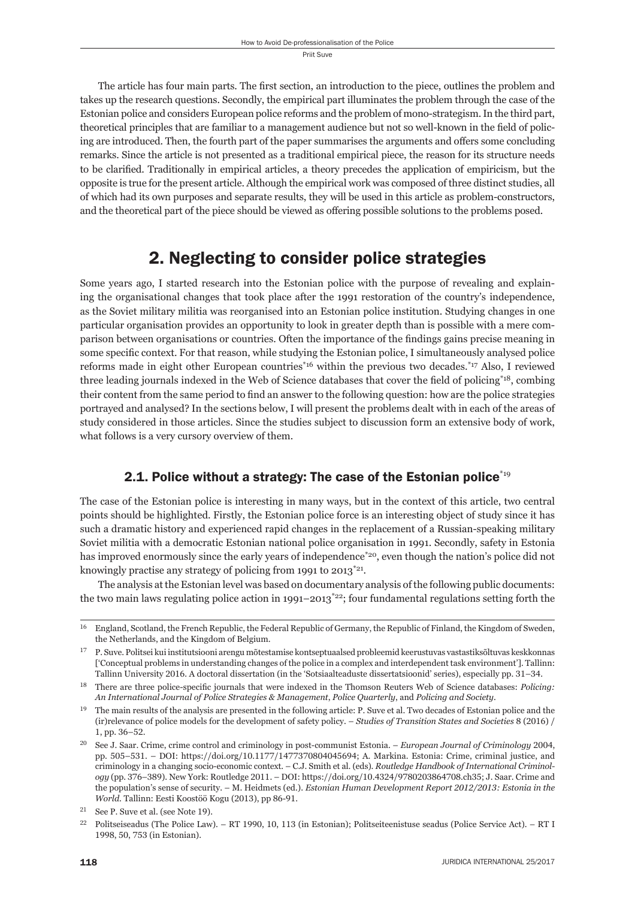The article has four main parts. The first section, an introduction to the piece, outlines the problem and takes up the research questions. Secondly, the empirical part illuminates the problem through the case of the Estonian police and considers European police reforms and the problem of mono-strategism. In the third part, theoretical principles that are familiar to a management audience but not so well-known in the field of policing are introduced. Then, the fourth part of the paper summarises the arguments and offers some concluding remarks. Since the article is not presented as a traditional empirical piece, the reason for its structure needs to be clarified. Traditionally in empirical articles, a theory precedes the application of empiricism, but the opposite is true for the present article. Although the empirical work was composed of three distinct studies, all of which had its own purposes and separate results, they will be used in this article as problem-constructors, and the theoretical part of the piece should be viewed as offering possible solutions to the problems posed.

## 2. Neglecting to consider police strategies

Some years ago, I started research into the Estonian police with the purpose of revealing and explaining the organisational changes that took place after the 1991 restoration of the country's independence, as the Soviet military militia was reorganised into an Estonian police institution. Studying changes in one particular organisation provides an opportunity to look in greater depth than is possible with a mere comparison between organisations or countries. Often the importance of the findings gains precise meaning in some specific context. For that reason, while studying the Estonian police, I simultaneously analysed police reforms made in eight other European countries\*16 within the previous two decades.\*17 Also, I reviewed three leading journals indexed in the Web of Science databases that cover the field of policing\*<sup>18</sup>, combing their content from the same period to find an answer to the following question: how are the police strategies portrayed and analysed? In the sections below, I will present the problems dealt with in each of the areas of study considered in those articles. Since the studies subject to discussion form an extensive body of work, what follows is a very cursory overview of them.

#### 2.1. Police without a strategy: The case of the Estonian police  $i_{19}$

The case of the Estonian police is interesting in many ways, but in the context of this article, two central points should be highlighted. Firstly, the Estonian police force is an interesting object of study since it has such a dramatic history and experienced rapid changes in the replacement of a Russian-speaking military Soviet militia with a democratic Estonian national police organisation in 1991. Secondly, safety in Estonia has improved enormously since the early years of independence<sup>\*20</sup>, even though the nation's police did not knowingly practise any strategy of policing from 1991 to  $2013^{21}$ .

The analysis at the Estonian level was based on documentary analysis of the following public documents: the two main laws regulating police action in 1991–2013<sup>\*22</sup>; four fundamental regulations setting forth the

<sup>&</sup>lt;sup>16</sup> England, Scotland, the French Republic, the Federal Republic of Germany, the Republic of Finland, the Kingdom of Sweden, the Netherlands, and the Kingdom of Belgium.

 $^{17}$ P. Suve. Politsei kui institutsiooni arengu mõtestamise kontseptuaalsed probleemid keerustuvas vastastiksõltuvas keskkonnas ['Conceptual problems in understanding changes of the police in a complex and interdependent task environment']. Tallinn: Tallinn University 2016. A doctoral dissertation (in the 'Sotsiaalteaduste dissertatsioonid' series), especially pp. 31-34.

<sup>&</sup>lt;sup>18</sup> There are three police-specific journals that were indexed in the Thomson Reuters Web of Science databases: *Policing: An International Journal of Police Strategies & Management*, *Police Quarterly*, and *Policing and Society*.

<sup>&</sup>lt;sup>19</sup> The main results of the analysis are presented in the following article: P. Suve et al. Two decades of Estonian police and the (ir)relevance of police models for the development of safety policy. – *Studies of Transition States and Societies* 8 (2016) / 1, pp. 36-52.

<sup>&</sup>lt;sup>20</sup> See J. Saar. Crime, crime control and criminology in post-communist Estonia. – *European Journal of Criminology* 2004, pp. 505–531. – DOI: https://doi.org/10.1177/1477370804045694; A. Markina. Estonia: Crime, criminal justice, and criminology in a changing socio-economic context. – C.J. Smith et al. (eds). *Routledge Handbook of International Criminology* (pp. 376-389). New York: Routledge 2011. – DOI: https://doi.org/10.4324/9780203864708.ch35; J. Saar. Crime and the population's sense of security. – M. Heidmets (ed.). *Estonian Human Development Report 2012/2013: Estonia in the World*. Tallinn: Eesti Koostöö Kogu (2013), pp 86-91.

 $21$  See P. Suve et al. (see Note 19).

 $^{22}$  Politseiseadus (The Police Law). – RT 1990, 10, 113 (in Estonian); Politseiteenistuse seadus (Police Service Act). – RT I 1998, 50, 753 (in Estonian).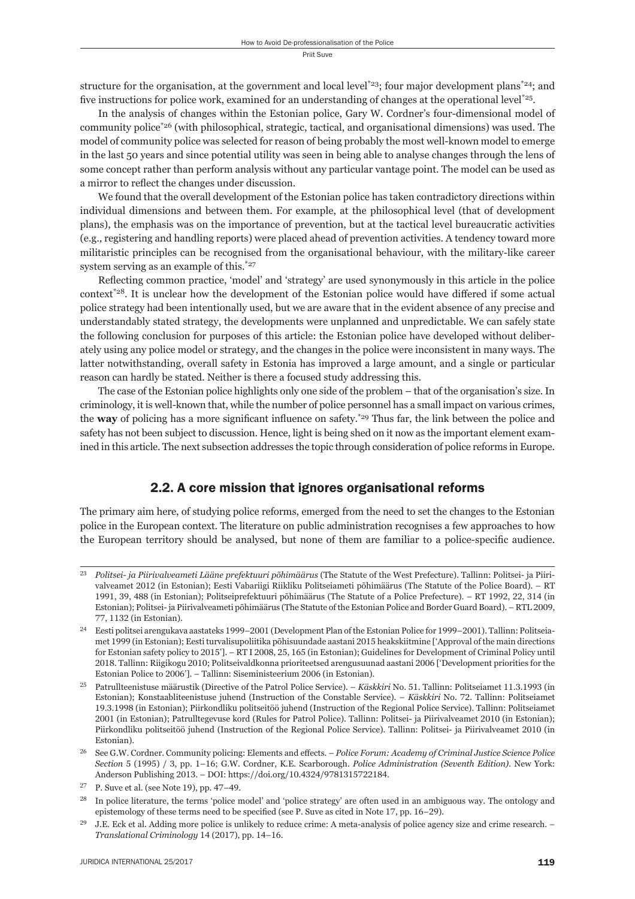structure for the organisation, at the government and local level\*23; four major development plans\*24; and five instructions for police work, examined for an understanding of changes at the operational level<sup>\*25</sup>.

In the analysis of changes within the Estonian police, Gary W. Cordner's four-dimensional model of community police<sup> $*26$ </sup> (with philosophical, strategic, tactical, and organisational dimensions) was used. The model of community police was selected for reason of being probably the most well-known model to emerge in the last 50 years and since potential utility was seen in being able to analyse changes through the lens of some concept rather than perform analysis without any particular vantage point. The model can be used as a mirror to reflect the changes under discussion.

We found that the overall development of the Estonian police has taken contradictory directions within individual dimensions and between them. For example, at the philosophical level (that of development plans), the emphasis was on the importance of prevention, but at the tactical level bureaucratic activities (e.g., registering and handling reports) were placed ahead of prevention activities. A tendency toward more militaristic principles can be recognised from the organisational behaviour, with the military-like career system serving as an example of this.<sup>\*27</sup>

Reflecting common practice, 'model' and 'strategy' are used synonymously in this article in the police context<sup> $*28$ </sup>. It is unclear how the development of the Estonian police would have differed if some actual police strategy had been intentionally used, but we are aware that in the evident absence of any precise and understandably stated strategy, the developments were unplanned and unpredictable. We can safely state the following conclusion for purposes of this article: the Estonian police have developed without deliberately using any police model or strategy, and the changes in the police were inconsistent in many ways. The latter notwithstanding, overall safety in Estonia has improved a large amount, and a single or particular reason can hardly be stated. Neither is there a focused study addressing this.

The case of the Estonian police highlights only one side of the problem – that of the organisation's size. In criminology, it is well-known that, while the number of police personnel has a small impact on various crimes, the **way** of policing has a more significant influence on safety.<sup>\*29</sup> Thus far, the link between the police and safety has not been subject to discussion. Hence, light is being shed on it now as the important element examined in this article. The next subsection addresses the topic through consideration of police reforms in Europe.

#### 2.2. A core mission that ignores organisational reforms

The primary aim here, of studying police reforms, emerged from the need to set the changes to the Estonian police in the European context. The literature on public administration recognises a few approaches to how the European territory should be analysed, but none of them are familiar to a police-specific audience.

ɳɴ *Politsei- ja Piirivalveameti Lääne prefektuuri põhimäärus* (The Statute of the West Prefecture). Tallinn: Politsei- ja Piirivalveamet 2012 (in Estonian); Eesti Vabariigi Riikliku Politseiameti põhimäärus (The Statute of the Police Board). – RT 1991, 39, 488 (in Estonian); Politseiprefektuuri põhimäärus (The Statute of a Police Prefecture). – RT 1992, 22, 314 (in Estonian); Politsei- ja Piirivalveameti põhimäärus (The Statute of the Estonian Police and Border Guard Board). – RTL 2009, 77, 1132 (in Estonian).

<sup>&</sup>lt;sup>24</sup> Eesti politsei arengukava aastateks 1999–2001 (Development Plan of the Estonian Police for 1999–2001). Tallinn: Politseiamet 1999 (in Estonian); Eesti turvalisupoliitika põhisuundade aastani 2015 heakskiitmine ['Approval of the main directions for Estonian safety policy to 2015']. – RT I 2008, 25, 165 (in Estonian); Guidelines for Development of Criminal Policy until 2018. Tallinn: Riigikogu 2010; Politseivaldkonna prioriteetsed arengusuunad aastani 2006 ['Development priorities for the Estonian Police to 2006']. – Tallinn: Siseministeerium 2006 (in Estonian).

<sup>&</sup>lt;sup>25</sup> Patrullteenistuse määrustik (Directive of the Patrol Police Service). – *Käskkiri* No. 51. Tallinn: Politseiamet 11.3.1993 (in Estonian); Konstaabliteenistuse juhend (Instruction of the Constable Service). – *Käskkiri* No. 72. Tallinn: Politseiamet ɲɺ.ɴ.ɲɺɺɹ (in Estonian); Piirkondliku politseitöö juhend (Instruction of the Regional Police Service). Tallinn: Politseiamet 2001 (in Estonian); Patrulltegevuse kord (Rules for Patrol Police). Tallinn: Politsei- ja Piirivalveamet 2010 (in Estonian); Piirkondliku politseitöö juhend (Instruction of the Regional Police Service). Tallinn: Politsei- ja Piirivalveamet 2010 (in Estonian).

See G.W. Cordner. Community policing: Elements and effects. - *Police Forum: Academy of Criminal Justice Science Police Section 5* (1995) / 3, pp. 1-16; G.W. Cordner, K.E. Scarborough. *Police Administration (Seventh Edition)*. New York: Anderson Publishing 2013. – DOI: https://doi.org/10.4324/9781315722184.

 $27$  P. Suve et al. (see Note 19), pp. 47–49.

<sup>&</sup>lt;sup>28</sup> In police literature, the terms 'police model' and 'police strategy' are often used in an ambiguous way. The ontology and epistemology of these terms need to be specified (see P. Suve as cited in Note 17, pp. 16–29).

 $^{29}$  J.E. Eck et al. Adding more police is unlikely to reduce crime: A meta-analysis of police agency size and crime research.  $-$ *Translational Criminology* 14 (2017), pp. 14-16.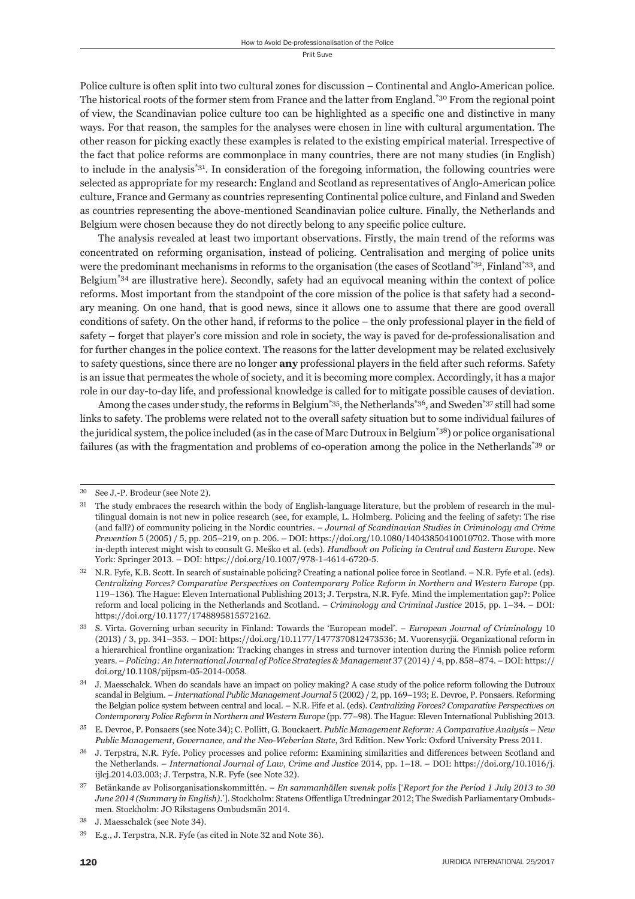Police culture is often split into two cultural zones for discussion – Continental and Anglo-American police. The historical roots of the former stem from France and the latter from England.<sup>\*30</sup> From the regional point of view, the Scandinavian police culture too can be highlighted as a specifi c one and distinctive in many ways. For that reason, the samples for the analyses were chosen in line with cultural argumentation. The other reason for picking exactly these examples is related to the existing empirical material. Irrespective of the fact that police reforms are commonplace in many countries, there are not many studies (in English) to include in the analysis<sup>\*31</sup>. In consideration of the foregoing information, the following countries were selected as appropriate for my research: England and Scotland as representatives of Anglo-American police culture, France and Germany as countries representing Continental police culture, and Finland and Sweden as countries representing the above-mentioned Scandinavian police culture. Finally, the Netherlands and Belgium were chosen because they do not directly belong to any specific police culture.

The analysis revealed at least two important observations. Firstly, the main trend of the reforms was concentrated on reforming organisation, instead of policing. Centralisation and merging of police units were the predominant mechanisms in reforms to the organisation (the cases of Scotland<sup>\*32</sup>, Finland<sup>\*33</sup>, and Belgium\*34 are illustrative here). Secondly, safety had an equivocal meaning within the context of police reforms. Most important from the standpoint of the core mission of the police is that safety had a secondary meaning. On one hand, that is good news, since it allows one to assume that there are good overall conditions of safety. On the other hand, if reforms to the police – the only professional player in the field of safety – forget that player's core mission and role in society, the way is paved for de-professionalisation and for further changes in the police context. The reasons for the latter development may be related exclusively to safety questions, since there are no longer **any** professional players in the field after such reforms. Safety is an issue that permeates the whole of society, and it is becoming more complex. Accordingly, it has a major role in our day-to-day life, and professional knowledge is called for to mitigate possible causes of deviation.

Among the cases under study, the reforms in Belgium<sup>\*35</sup>, the Netherlands<sup>\*36</sup>, and Sweden<sup>\*37</sup> still had some links to safety. The problems were related not to the overall safety situation but to some individual failures of the juridical system, the police included (as in the case of Marc Dutroux in Belgium\*38) or police organisational failures (as with the fragmentation and problems of co-operation among the police in the Netherlands\*39 or

<sup>&</sup>lt;sup>30</sup> See J.-P. Brodeur (see Note 2).

 $31$  The study embraces the research within the body of English-language literature, but the problem of research in the multilingual domain is not new in police research (see, for example, L. Holmberg. Policing and the feeling of safety: The rise (and fall?) of community policing in the Nordic countries. – *Journal of Scandinavian Studies in Criminology and Crime Prevention*  $5(2005) / 5$ , pp.  $205-219$ , on p.  $206. - DOI: <https://doi.org/10.1080/14043850410010702>. Those with more$ in-depth interest might wish to consult G. Meško et al. (eds). *Handbook on Policing in Central and Eastern Europe*. New York: Springer 2013. – DOI: https://doi.org/10.1007/978-1-4614-6720-5.

N.R. Fyfe, K.B. Scott. In search of sustainable policing? Creating a national police force in Scotland. – N.R. Fyfe et al. (eds). *Centralizing Forces? Comparative Perspectives on Contemporary Police Reform in Northern and Western Europe* (pp. 119-136). The Hague: Eleven International Publishing 2013; J. Terpstra, N.R. Fyfe. Mind the implementation gap?: Police reform and local policing in the Netherlands and Scotland. – *Criminology and Criminal Justice* 2015, pp. 1–34. – DOI: https://doi.org/10.1177/1748895815572162.

<sup>&</sup>lt;sup>33</sup> S. Virta. Governing urban security in Finland: Towards the 'European model'. – *European Journal of Criminology* 10 (2013) / 3, pp. 341–353. – DOI: https://doi.org/10.1177/1477370812473536; M. Vuorensyrjä. Organizational reform in a hierarchical frontline organization: Tracking changes in stress and turnover intention during the Finnish police reform years. – *Policing: An International Journal of Police Strategies & Management* 37 (2014) / 4, pp. 858–874. – DOI: https:// doi.org/10.1108/pijpsm-05-2014-0058.

J. Maesschalck. When do scandals have an impact on policy making? A case study of the police reform following the Dutroux scandal in Belgium. – *International Public Management Journal* 5 (2002) / 2, pp. 169–193; E. Devroe, P. Ponsaers. Reforming the Belgian police system between central and local. – N.R. Fife et al. (eds). *Centralizing Forces? Comparative Perspectives on Contemporary Police Reform in Northern and Western Europe* (pp. 77–98). The Hague: Eleven International Publishing 2013.

<sup>&</sup>lt;sup>35</sup> E. Devroe, P. Ponsaers (see Note 34); C. Pollitt, G. Bouckaert. *Public Management Reform: A Comparative Analysis – New Public Management, Governance, and the Neo-Weberian State, 3rd Edition. New York: Oxford University Press 2011.* 

J. Terpstra, N.R. Fyfe. Policy processes and police reform: Examining similarities and differences between Scotland and the Netherlands. – *International Journal of Law, Crime and Justice* 2014, pp. 1-18. – DOI: https://doi.org/10.1016/j. ijlcj.2014.03.003; J. Terpstra, N.R. Fyfe (see Note 32).

ɴɸ Betänkande av Polisorganisationskommittén. – *En sammanhållen svensk polis* ['*Report for the Period ɲ July ɳɱɲɴ to ɴɱ June 2014 (Summary in English)*.']. Stockholm: Statens Offentliga Utredningar 2012; The Swedish Parliamentary Ombudsmen. Stockholm: JO Rikstagens Ombudsmän 2014.

J. Maesschalck (see Note 34).

<sup>&</sup>lt;sup>39</sup> E.g., J. Terpstra, N.R. Fyfe (as cited in Note 32 and Note 36).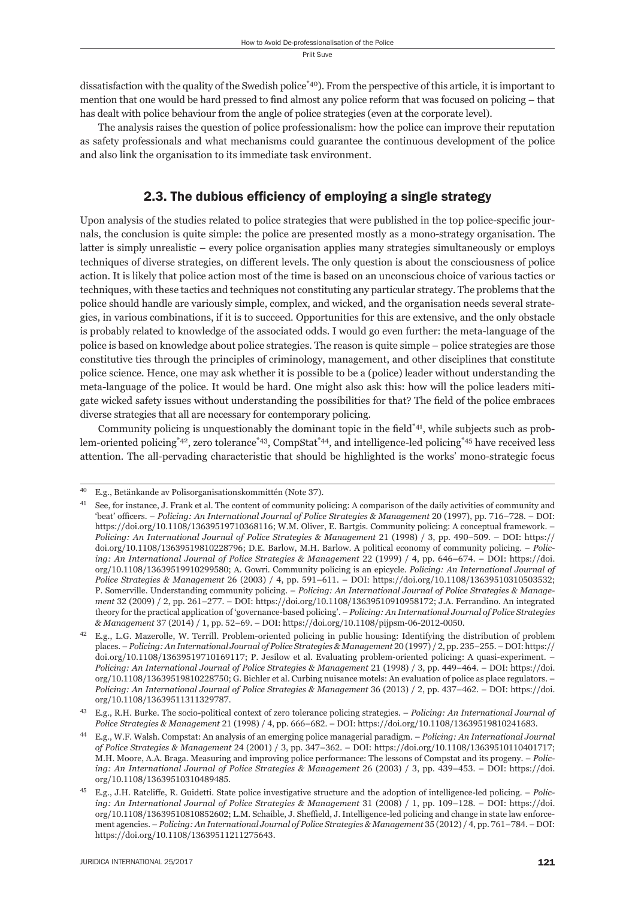dissatisfaction with the quality of the Swedish police\*40). From the perspective of this article, it is important to mention that one would be hard pressed to find almost any police reform that was focused on policing – that has dealt with police behaviour from the angle of police strategies (even at the corporate level).

The analysis raises the question of police professionalism: how the police can improve their reputation as safety professionals and what mechanisms could guarantee the continuous development of the police and also link the organisation to its immediate task environment.

#### 2.3. The dubious efficiency of employing a single strategy

Upon analysis of the studies related to police strategies that were published in the top police-specifi c journals, the conclusion is quite simple: the police are presented mostly as a mono-strategy organisation. The latter is simply unrealistic – every police organisation applies many strategies simultaneously or employs techniques of diverse strategies, on different levels. The only question is about the consciousness of police action. It is likely that police action most of the time is based on an unconscious choice of various tactics or techniques, with these tactics and techniques not constituting any particular strategy. The problems that the police should handle are variously simple, complex, and wicked, and the organisation needs several strategies, in various combinations, if it is to succeed. Opportunities for this are extensive, and the only obstacle is probably related to knowledge of the associated odds. I would go even further: the meta-language of the police is based on knowledge about police strategies. The reason is quite simple – police strategies are those constitutive ties through the principles of criminology, management, and other disciplines that constitute police science. Hence, one may ask whether it is possible to be a (police) leader without understanding the meta-language of the police. It would be hard. One might also ask this: how will the police leaders mitigate wicked safety issues without understanding the possibilities for that? The field of the police embraces diverse strategies that all are necessary for contemporary policing.

Community policing is unquestionably the dominant topic in the field<sup>\*41</sup>, while subjects such as problem-oriented policing\*42, zero tolerance\*43, CompStat\*44, and intelligence-led policing\*45 have received less attention. The all-pervading characteristic that should be highlighted is the works' mono-strategic focus

<sup>&</sup>lt;sup>40</sup> E.g., Betänkande av Polisorganisationskommittén (Note 37).

See, for instance, J. Frank et al. The content of community policing: A comparison of the daily activities of community and 'beat' officers. – *Policing: An International Journal of Police Strategies & Management* 20 (1997), pp. 716–728. – DOI: https://doi.org/10.1108/13639519710368116; W.M. Oliver, E. Bartgis. Community policing: A conceptual framework. -*Policing: An International Journal of Police Strategies & Management* 21 (1998) / 3, pp. 490-509. – DOI: https:// doi.org/10.1108/13639519810228796; D.E. Barlow, M.H. Barlow. A political economy of community policing. – *Policing: An International Journal of Police Strategies & Management* 22 (1999) / 4, pp. 646–674. – DOI: https://doi. org/10.1108/13639519910299580; A. Gowri. Community policing is an epicycle. *Policing: An International Journal of Police Strategies & Management* 26 (2003) / 4, pp. 591-611. – DOI: https://doi.org/10.1108/13639510310503532; P. Somerville. Understanding community policing. – *Policing: An International Journal of Police Strategies & Management* 32 (2009) / 2, pp. 261-277. – DOI: https://doi.org/10.1108/13639510910958172; J.A. Ferrandino. An integrated theory for the practical application of 'governance-based policing'. – *Policing: An International Journal of Police Strategies*   $& Management 37 (2014) / 1, pp. 52-69. - DOI: <https://doi.org/10.1108/pijpsm-06-2012-0050>.$ 

 $^{42}$  E.g., L.G. Mazerolle, W. Terrill. Problem-oriented policing in public housing: Identifying the distribution of problem places. – *Policing: An International Journal of Police Strategies & Management* 20 (1997) / 2, pp. 235–255. – DOI: https:// doi.org/10.1108/13639519710169117; P. Jesilow et al. Evaluating problem-oriented policing: A quasi-experiment. – *Policing: An International Journal of Police Strategies & Management* 21 (1998) / 3, pp. 449–464. – DOI: https://doi. org/10.1108/13639519810228750; G. Bichler et al. Curbing nuisance motels: An evaluation of police as place regulators. – *Policing: An International Journal of Police Strategies & Management* 36 (2013) / 2, pp. 437-462. – DOI: https://doi. org/10.1108/13639511311329787.

ɵɴ E.g., R.H. Burke. The socio-political context of zero tolerance policing strategies. – *Policing: An International Journal of Police Strategies & Management* 21 (1998) / 4, pp. 666-682. - DOI: https://doi.org/10.1108/13639519810241683.

ɵɵ E.g., W.F. Walsh. Compstat: An analysis of an emerging police managerial paradigm. – *Policing: An International Journal of Police Strategies & Management* 24 (2001) / 3, pp. 347-362. - DOI: https://doi.org/10.1108/13639510110401717; M.H. Moore, A.A. Braga. Measuring and improving police performance: The lessons of Compstat and its progeny. – *Policing: An International Journal of Police Strategies & Management* 26 (2003) / 3, pp. 439–453. – DOI: https://doi. org/10.1108/13639510310489485.

<sup>&</sup>lt;sup>45</sup> E.g., J.H. Ratcliffe, R. Guidetti. State police investigative structure and the adoption of intelligence-led policing. - Polic*ing: An International Journal of Police Strategies & Management* 31 (2008) / 1, pp. 109–128. – DOI: https://doi. org/10.1108/13639510810852602; L.M. Schaible, J. Sheffield, J. Intelligence-led policing and change in state law enforcement agencies. – *Policing: An International Journal of Police Strategies & Management* 35 (2012) / 4, pp. 761-784. – DOI: https://doi.org/10.1108/13639511211275643.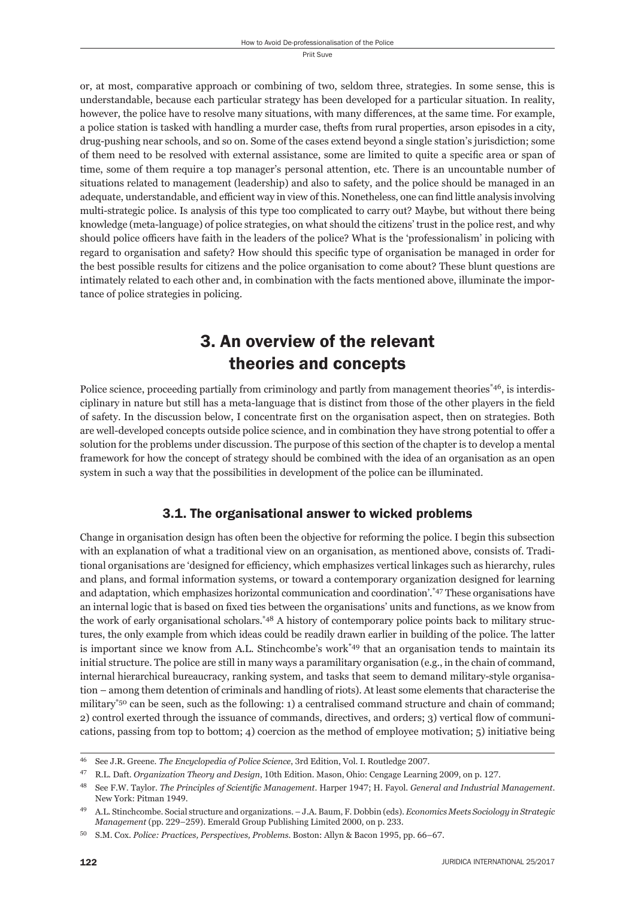or, at most, comparative approach or combining of two, seldom three, strategies. In some sense, this is understandable, because each particular strategy has been developed for a particular situation. In reality, however, the police have to resolve many situations, with many differences, at the same time. For example, a police station is tasked with handling a murder case, thefts from rural properties, arson episodes in a city, drug-pushing near schools, and so on. Some of the cases extend beyond a single station's jurisdiction; some of them need to be resolved with external assistance, some are limited to quite a specific area or span of time, some of them require a top manager's personal attention, etc. There is an uncountable number of situations related to management (leadership) and also to safety, and the police should be managed in an adequate, understandable, and efficient way in view of this. Nonetheless, one can find little analysis involving multi-strategic police. Is analysis of this type too complicated to carry out? Maybe, but without there being knowledge (meta-language) of police strategies, on what should the citizens' trust in the police rest, and why should police officers have faith in the leaders of the police? What is the 'professionalism' in policing with regard to organisation and safety? How should this specific type of organisation be managed in order for the best possible results for citizens and the police organisation to come about? These blunt questions are intimately related to each other and, in combination with the facts mentioned above, illuminate the importance of police strategies in policing.

# 3. An overview of the relevant theories and concepts

Police science, proceeding partially from criminology and partly from management theories<sup>\*46</sup>, is interdisciplinary in nature but still has a meta-language that is distinct from those of the other players in the field of safety. In the discussion below, I concentrate first on the organisation aspect, then on strategies. Both are well-developed concepts outside police science, and in combination they have strong potential to offer a solution for the problems under discussion. The purpose of this section of the chapter is to develop a mental framework for how the concept of strategy should be combined with the idea of an organisation as an open system in such a way that the possibilities in development of the police can be illuminated.

#### 3.1. The organisational answer to wicked problems

Change in organisation design has often been the objective for reforming the police. I begin this subsection with an explanation of what a traditional view on an organisation, as mentioned above, consists of. Traditional organisations are 'designed for efficiency, which emphasizes vertical linkages such as hierarchy, rules and plans, and formal information systems, or toward a contemporary organization designed for learning and adaptation, which emphasizes horizontal communication and coordination'.\*47 These organisations have an internal logic that is based on fixed ties between the organisations' units and functions, as we know from the work of early organisational scholars.\*48 A history of contemporary police points back to military structures, the only example from which ideas could be readily drawn earlier in building of the police. The latter is important since we know from A.L. Stinchcombe's work<sup>\*49</sup> that an organisation tends to maintain its initial structure. The police are still in many ways a paramilitary organisation (e.g., in the chain of command, internal hierarchical bureaucracy, ranking system, and tasks that seem to demand military-style organisation – among them detention of criminals and handling of riots). At least some elements that characterise the military\*50 can be seen, such as the following: 1) a centralised command structure and chain of command; 2) control exerted through the issuance of commands, directives, and orders; 3) vertical flow of communications, passing from top to bottom; 4) coercion as the method of employee motivation; 5) initiative being

<sup>&</sup>lt;sup>46</sup> See J.R. Greene. *The Encyclopedia of Police Science*, 3rd Edition, Vol. I. Routledge 2007.

<sup>&</sup>lt;sup>47</sup> R.L. Daft. *Organization Theory and Design*, 10th Edition. Mason, Ohio: Cengage Learning 2009, on p. 127.

<sup>&</sup>lt;sup>48</sup> See F.W. Taylor. *The Principles of Scientific Management*. Harper 1947; H. Fayol. *General and Industrial Management*. New York: Pitman 1949.

ɵɺ A.L. Stinchcombe. Social structure and organizations. – J.A. Baum, F. Dobbin (eds). *Economics Meets Sociology in Strategic Management* (pp. 229–259). Emerald Group Publishing Limited 2000, on p. 233.

<sup>50</sup> S.M. Cox. *Police: Practices, Perspectives, Problems*. Boston: Allyn & Bacon 1995, pp. 66-67.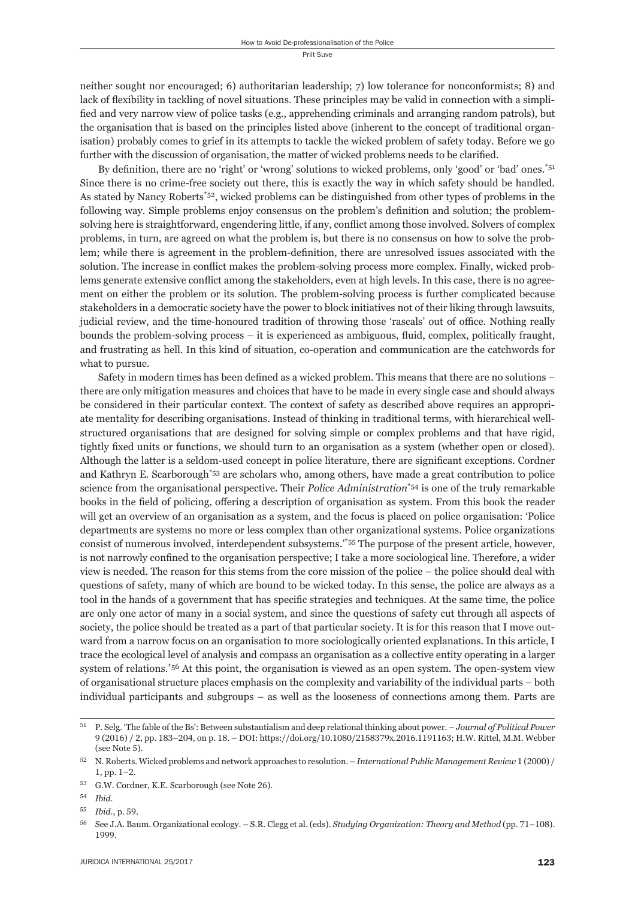neither sought nor encouraged; 6) authoritarian leadership; 7) low tolerance for nonconformists; 8) and lack of flexibility in tackling of novel situations. These principles may be valid in connection with a simplified and very narrow view of police tasks (e.g., apprehending criminals and arranging random patrols), but the organisation that is based on the principles listed above (inherent to the concept of traditional organisation) probably comes to grief in its attempts to tackle the wicked problem of safety today. Before we go further with the discussion of organisation, the matter of wicked problems needs to be clarified.

By definition, there are no 'right' or 'wrong' solutions to wicked problems, only 'good' or 'bad' ones.<sup>\*51</sup> Since there is no crime-free society out there, this is exactly the way in which safety should be handled. As stated by Nancy Roberts\*52, wicked problems can be distinguished from other types of problems in the following way. Simple problems enjoy consensus on the problem's definition and solution; the problemsolving here is straightforward, engendering little, if any, conflict among those involved. Solvers of complex problems, in turn, are agreed on what the problem is, but there is no consensus on how to solve the problem; while there is agreement in the problem-definition, there are unresolved issues associated with the solution. The increase in conflict makes the problem-solving process more complex. Finally, wicked problems generate extensive conflict among the stakeholders, even at high levels. In this case, there is no agreement on either the problem or its solution. The problem-solving process is further complicated because stakeholders in a democratic society have the power to block initiatives not of their liking through lawsuits, judicial review, and the time-honoured tradition of throwing those 'rascals' out of office. Nothing really bounds the problem-solving process – it is experienced as ambiguous, fluid, complex, politically fraught, and frustrating as hell. In this kind of situation, co-operation and communication are the catchwords for what to pursue.

Safety in modern times has been defined as a wicked problem. This means that there are no solutions – there are only mitigation measures and choices that have to be made in every single case and should always be considered in their particular context. The context of safety as described above requires an appropriate mentality for describing organisations. Instead of thinking in traditional terms, with hierarchical wellstructured organisations that are designed for solving simple or complex problems and that have rigid, tightly fixed units or functions, we should turn to an organisation as a system (whether open or closed). Although the latter is a seldom-used concept in police literature, there are significant exceptions. Cordner and Kathryn E. Scarborough\*53 are scholars who, among others, have made a great contribution to police science from the organisational perspective. Their *Police Administration*\*54 is one of the truly remarkable books in the field of policing, offering a description of organisation as system. From this book the reader will get an overview of an organisation as a system, and the focus is placed on police organisation: 'Police departments are systems no more or less complex than other organizational systems. Police organizations consist of numerous involved, interdependent subsystems.'\*55 The purpose of the present article, however, is not narrowly confined to the organisation perspective; I take a more sociological line. Therefore, a wider view is needed. The reason for this stems from the core mission of the police – the police should deal with questions of safety, many of which are bound to be wicked today. In this sense, the police are always as a tool in the hands of a government that has specific strategies and techniques. At the same time, the police are only one actor of many in a social system, and since the questions of safety cut through all aspects of society, the police should be treated as a part of that particular society. It is for this reason that I move outward from a narrow focus on an organisation to more sociologically oriented explanations. In this article, I trace the ecological level of analysis and compass an organisation as a collective entity operating in a larger system of relations.\*56 At this point, the organisation is viewed as an open system. The open-system view of organisational structure places emphasis on the complexity and variability of the individual parts – both individual participants and subgroups – as well as the looseness of connections among them. Parts are

ɶɲ P. Selg. 'The fable of the Bs': Between substantialism and deep relational thinking about power. – *Journal of Political Power* 9 (2016) / 2, pp. 183-204, on p. 18. – DOI: https://doi.org/10.1080/2158379x.2016.1191163; H.W. Rittel, M.M. Webber (see Note 5).

 $52$  N. Roberts. Wicked problems and network approaches to resolution. – *International Public Management Review* 1 (2000) /  $1, pp. 1-2.$ 

<sup>53</sup> G.W. Cordner, K.E. Scarborough (see Note 26).

ɶɵ *Ibid*.

<sup>55</sup> *Ibid.*, p. 59.

<sup>56</sup> See J.A. Baum. Organizational ecology. – S.R. Clegg et al. (eds). *Studying Organization: Theory and Method* (pp. 71–108). 1999.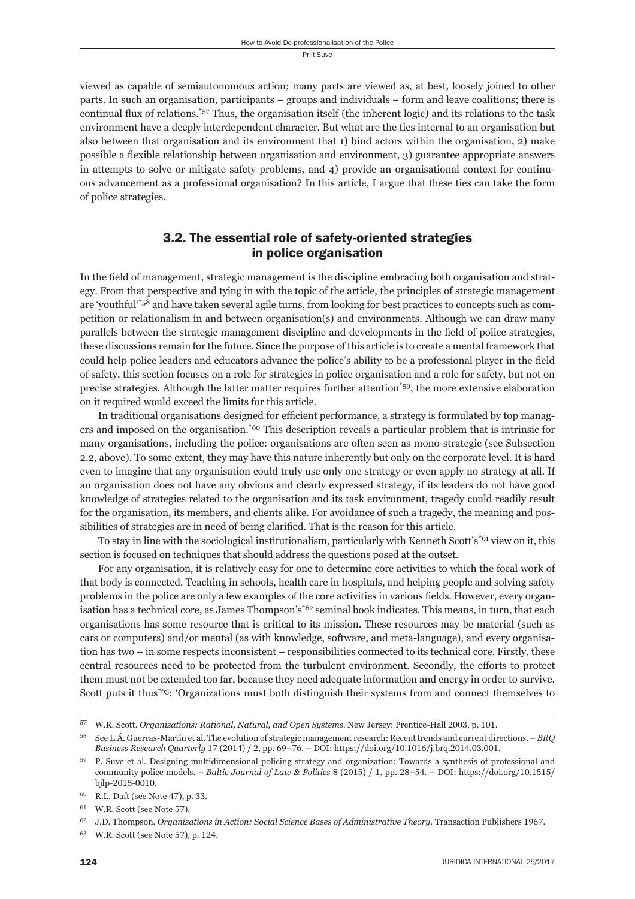viewed as capable of semiautonomous action; many parts are viewed as, at best, loosely joined to other parts. In such an organisation, participants – groups and individuals – form and leave coalitions; there is continual flux of relations.<sup>\*57</sup> Thus, the organisation itself (the inherent logic) and its relations to the task environment have a deeply interdependent character. But what are the ties internal to an organisation but also between that organisation and its environment that 1) bind actors within the organisation, 2) make possible a flexible relationship between organisation and environment, 3) guarantee appropriate answers in attempts to solve or mitigate safety problems, and 4) provide an organisational context for continuous advancement as a professional organisation? In this article, I argue that these ties can take the form of police strategies.

#### 3.2. The essential role of safety-oriented strategies in police organisation

In the field of management, strategic management is the discipline embracing both organisation and strategy. From that perspective and tying in with the topic of the article, the principles of strategic management are 'youthful'\*58 and have taken several agile turns, from looking for best practices to concepts such as competition or relationalism in and between organisation(s) and environments. Although we can draw many parallels between the strategic management discipline and developments in the field of police strategies, these discussions remain for the future. Since the purpose of this article is to create a mental framework that could help police leaders and educators advance the police's ability to be a professional player in the field of safety, this section focuses on a role for strategies in police organisation and a role for safety, but not on precise strategies. Although the latter matter requires further attention\*59, the more extensive elaboration on it required would exceed the limits for this article.

In traditional organisations designed for efficient performance, a strategy is formulated by top managers and imposed on the organisation.\*60 This description reveals a particular problem that is intrinsic for many organisations, including the police: organisations are often seen as mono-strategic (see Subsection 2.2, above). To some extent, they may have this nature inherently but only on the corporate level. It is hard even to imagine that any organisation could truly use only one strategy or even apply no strategy at all. If an organisation does not have any obvious and clearly expressed strategy, if its leaders do not have good knowledge of strategies related to the organisation and its task environment, tragedy could readily result for the organisation, its members, and clients alike. For avoidance of such a tragedy, the meaning and possibilities of strategies are in need of being clarified. That is the reason for this article.

To stay in line with the sociological institutionalism, particularly with Kenneth Scott's<sup>\*61</sup> view on it, this section is focused on techniques that should address the questions posed at the outset.

For any organisation, it is relatively easy for one to determine core activities to which the focal work of that body is connected. Teaching in schools, health care in hospitals, and helping people and solving safety problems in the police are only a few examples of the core activities in various fields. However, every organisation has a technical core, as James Thompson's<sup>\*62</sup> seminal book indicates. This means, in turn, that each organisations has some resource that is critical to its mission. These resources may be material (such as cars or computers) and/or mental (as with knowledge, software, and meta-language), and every organisation has two – in some respects inconsistent – responsibilities connected to its technical core. Firstly, these central resources need to be protected from the turbulent environment. Secondly, the efforts to protect them must not be extended too far, because they need adequate information and energy in order to survive. Scott puts it thus\*63: 'Organizations must both distinguish their systems from and connect themselves to

 $57$  W.R. Scott. *Organizations: Rational, Natural, and Open Systems*. New Jersey: Prentice-Hall 2003, p. 101.

See L.Á. Guerras-Martín et al. The evolution of strategic management research: Recent trends and current directions. – *BRQ Business Research Quarterly* 17 (2014) / 2, pp. 69-76. – DOI: https://doi.org/10.1016/j.brq.2014.03.001.

P. Suve et al. Designing multidimensional policing strategy and organization: Towards a synthesis of professional and community police models. – *Baltic Journal of Law & Politics* 8 (2015) / 1, pp. 28-54. – DOI: https://doi.org/10.1515/ bjlp-2015-0010.

 $^{60}$  R.L. Daft (see Note 47), p. 33.

 $61$  W.R. Scott (see Note  $57$ ).

J.D. Thompson. *Organizations in Action: Social Science Bases of Administrative Theory*. Transaction Publishers 1967.

<sup>63</sup> W.R. Scott (see Note 57), p. 124.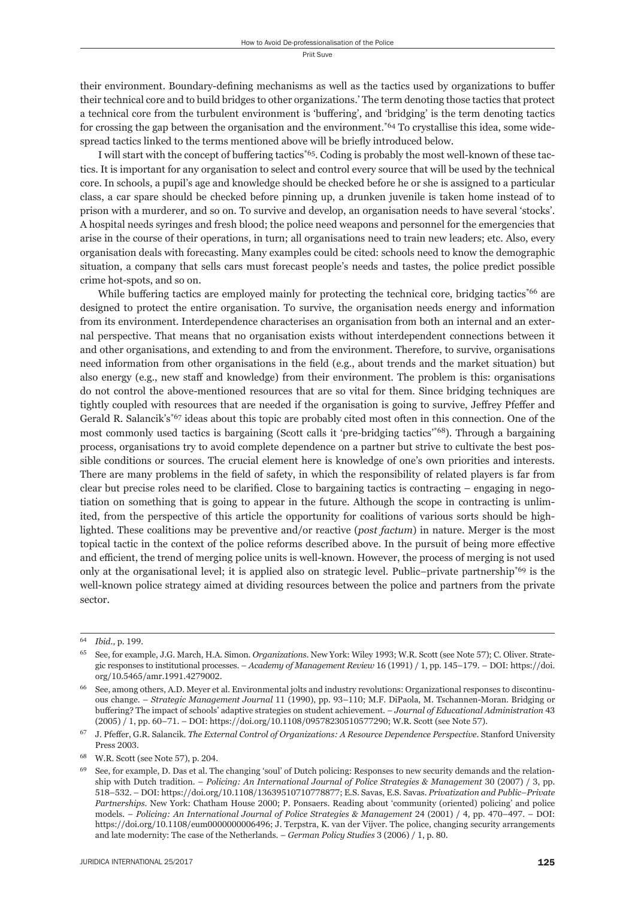their environment. Boundary-defining mechanisms as well as the tactics used by organizations to buffer their technical core and to build bridges to other organizations.' The term denoting those tactics that protect a technical core from the turbulent environment is 'buffering', and 'bridging' is the term denoting tactics for crossing the gap between the organisation and the environment.<sup> $*64$ </sup> To crystallise this idea, some widespread tactics linked to the terms mentioned above will be briefly introduced below.

I will start with the concept of buffering tactics<sup>\*65</sup>. Coding is probably the most well-known of these tactics. It is important for any organisation to select and control every source that will be used by the technical core. In schools, a pupil's age and knowledge should be checked before he or she is assigned to a particular class, a car spare should be checked before pinning up, a drunken juvenile is taken home instead of to prison with a murderer, and so on. To survive and develop, an organisation needs to have several 'stocks'. A hospital needs syringes and fresh blood; the police need weapons and personnel for the emergencies that arise in the course of their operations, in turn; all organisations need to train new leaders; etc. Also, every organisation deals with forecasting. Many examples could be cited: schools need to know the demographic situation, a company that sells cars must forecast people's needs and tastes, the police predict possible crime hot-spots, and so on.

While buffering tactics are employed mainly for protecting the technical core, bridging tactics $*66$  are designed to protect the entire organisation. To survive, the organisation needs energy and information from its environment. Interdependence characterises an organisation from both an internal and an external perspective. That means that no organisation exists with out interdependent connections between it and other organisations, and extending to and from the environment. Therefore, to survive, organisations need information from other organisations in the field (e.g., about trends and the market situation) but also energy (e.g., new staff and knowledge) from their environment. The problem is this: organisations do not control the above-mentioned resources that are so vital for them. Since bridging techniques are tightly coupled with resources that are needed if the organisation is going to survive, Jeffrey Pfeffer and Gerald R. Salancik's<sup>\*67</sup> ideas about this topic are probably cited most often in this connection. One of the most commonly used tactics is bargaining (Scott calls it 'pre-bridging tactics'\*68). Through a bargaining process, organisations try to avoid complete dependence on a partner but strive to cultivate the best possible conditions or sources. The crucial element here is knowledge of one's own priorities and interests. There are many problems in the field of safety, in which the responsibility of related players is far from clear but precise roles need to be clarified. Close to bargaining tactics is contracting  $-$  engaging in negotiation on something that is going to appear in the future. Although the scope in contracting is unlimited, from the perspective of this article the opportunity for coalitions of various sorts should be highlighted. These coalitions may be preventive and/or reactive (*post factum*) in nature. Merger is the most topical tactic in the context of the police reforms described above. In the pursuit of being more effective and efficient, the trend of merging police units is well-known. However, the process of merging is not used only at the organisational level; it is applied also on strategic level. Public–private partnership<sup>\*69</sup> is the well-known police strategy aimed at dividing resources between the police and partners from the private sector.

<sup>64</sup> *Ibid.*, p. 199.

See, for example, J.G. March, H.A. Simon. *Organizations*. New York: Wiley 1993; W.R. Scott (see Note 57); C. Oliver. Strategic responses to institutional processes. – *Academy of Management Review* 16 (1991) / 1, pp. 145–179. – DOI: https://doi. org/10.5465/amr.1991.4279002.

See, among others, A.D. Meyer et al. Environmental jolts and industry revolutions: Organizational responses to discontinuous change. - *Strategic Management Journal* 11 (1990), pp. 93-110; M.F. DiPaola, M. Tschannen-Moran. Bridging or buffering? The impact of schools' adaptive strategies on student achievement. *– Journal of Educational Administration* 43 (2005) / 1, pp. 60-71. – DOI: https://doi.org/10.1108/09578230510577290; W.R. Scott (see Note 57).

<sup>&</sup>lt;sup>67</sup> J. Pfeffer, G.R. Salancik. *The External Control of Organizations: A Resource Dependence Perspective*. Stanford University Press 2003.

<sup>68</sup> W.R. Scott (see Note 57), p. 204.

<sup>&</sup>lt;sup>69</sup> See, for example, D. Das et al. The changing 'soul' of Dutch policing: Responses to new security demands and the relationship with Dutch tradition. – *Policing: An International Journal of Police Strategies & Management* 30 (2007) / 3, pp.  $518-532. - DOI: <https://doi.org/10.1108/13639510710778877>; E.S. Savas, E.S. Savas. *Privatization and Public–Private*$ *Partnerships*. New York: Chatham House 2000; P. Ponsaers. Reading about 'community (oriented) policing' and police models. – *Policing: An International Journal of Police Strategies & Management* 24 (2001) / 4, pp. 470–497. – DOI: https://doi.org/10.1108/eum000000006496; J. Terpstra, K. van der Vijver. The police, changing security arrangements and late modernity: The case of the Netherlands. - *German Policy Studies* 3 (2006) / 1, p. 80.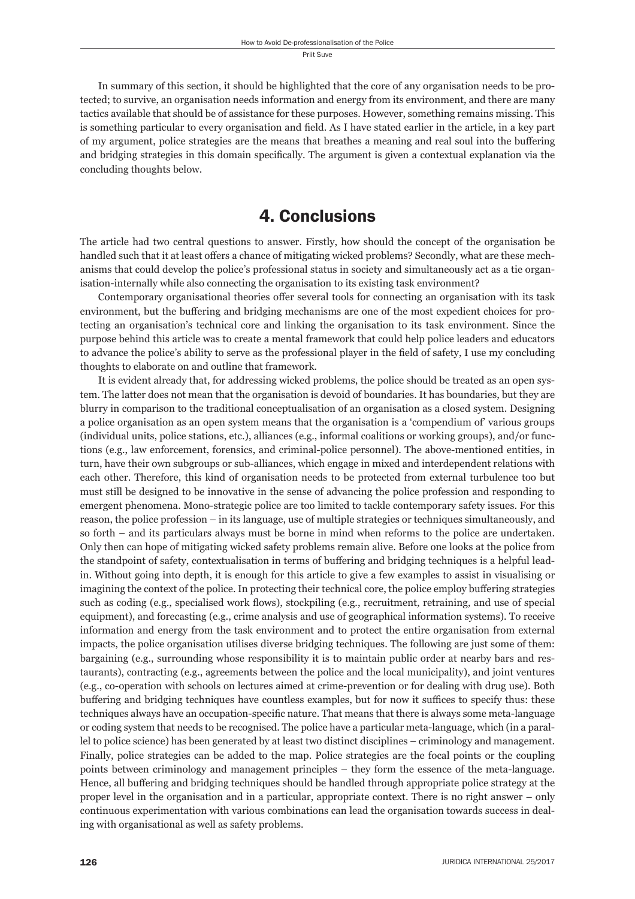In summary of this section, it should be highlighted that the core of any organisation needs to be protected; to survive, an organisation needs information and energy from its environment, and there are many tactics available that should be of assistance for these purposes. However, something remains missing. This is something particular to every organisation and field. As I have stated earlier in the article, in a key part of my argument, police strategies are the means that breathes a meaning and real soul into the buffering and bridging strategies in this domain specifically. The argument is given a contextual explanation via the concluding thoughts below.

## 4. Conclusions

The article had two central questions to answer. Firstly, how should the concept of the organisation be handled such that it at least offers a chance of mitigating wicked problems? Secondly, what are these mechanisms that could develop the police's professional status in society and simultaneously act as a tie organisation-internally while also connecting the organisation to its existing task environment?

Contemporary organisational theories offer several tools for connecting an organisation with its task environment, but the buffering and bridging mechanisms are one of the most expedient choices for protecting an organisation's technical core and linking the organisation to its task environment. Since the purpose behind this article was to create a mental framework that could help police leaders and educators to advance the police's ability to serve as the professional player in the field of safety, I use my concluding thoughts to elaborate on and outline that framework.

It is evident already that, for addressing wicked problems, the police should be treated as an open system. The latter does not mean that the organisation is devoid of boundaries. It has boundaries, but they are blurry in comparison to the traditional conceptualisation of an organisation as a closed system. Designing a police organisation as an open system means that the organisation is a 'compendium of' various groups (individual units, police stations, etc.), alliances (e.g., informal coalitions or working groups), and/or functions (e.g., law enforcement, forensics, and criminal-police personnel). The above-mentioned entities, in turn, have their own subgroups or sub-alliances, which engage in mixed and interdependent relations with each other. Therefore, this kind of organisation needs to be protected from external turbulence too but must still be designed to be innovative in the sense of advancing the police profession and responding to emergent phenomena. Mono-strategic police are too limited to tackle contemporary safety issues. For this reason, the police profession – in its language, use of multiple strategies or techniques simultaneously, and so forth – and its particulars always must be borne in mind when reforms to the police are undertaken. Only then can hope of mitigating wicked safety problems remain alive. Before one looks at the police from the standpoint of safety, contextualisation in terms of buffering and bridging techniques is a helpful leadin. Without going into depth, it is enough for this article to give a few examples to assist in visualising or imagining the context of the police. In protecting their technical core, the police employ buffering strategies such as coding (e.g., specialised work flows), stockpiling (e.g., recruitment, retraining, and use of special equipment), and forecasting (e.g., crime analysis and use of geographical information systems). To receive information and energy from the task environment and to protect the entire organisation from external impacts, the police organisation utilises diverse bridging techniques. The following are just some of them: bargaining (e.g., surrounding whose responsibility it is to maintain public order at nearby bars and restaurants), contracting (e.g., agreements between the police and the local municipality), and joint ventures (e.g., co-operation with schools on lectures aimed at crime-prevention or for dealing with drug use). Both buffering and bridging techniques have countless examples, but for now it suffices to specify thus: these techniques always have an occupation-specific nature. That means that there is always some meta-language or coding system that needs to be recognised. The police have a particular meta-language, which (in a parallel to police science) has been generated by at least two distinct disciplines – criminology and management. Finally, police strategies can be added to the map. Police strategies are the focal points or the coupling points between criminology and management principles – they form the essence of the meta-language. Hence, all buffering and bridging techniques should be handled through appropriate police strategy at the proper level in the organisation and in a particular, appropriate context. There is no right answer – only continuous experimentation with various combinations can lead the organisation towards success in dealing with organisational as well as safety problems.